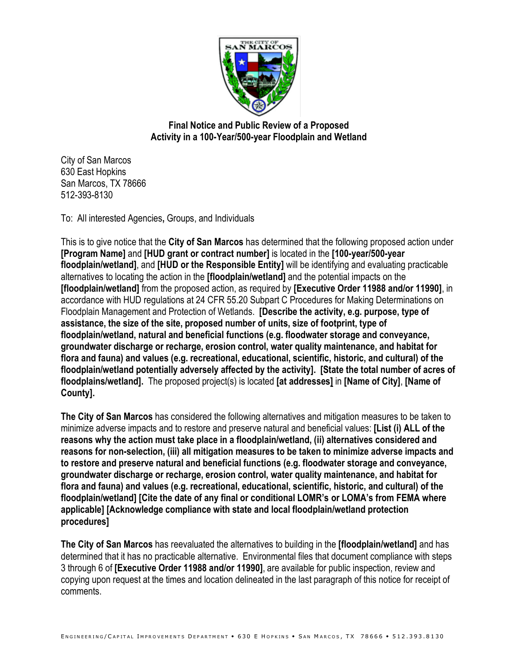

**Final Notice and Public Review of a Proposed Activity in a 100-Year/500-year Floodplain and Wetland**

City of San Marcos 630 East Hopkins San Marcos, TX 78666 512-393-8130

To: All interested Agencies**,** Groups, and Individuals

This is to give notice that the **City of San Marcos** has determined that the following proposed action under **[Program Name]** and **[HUD grant or contract number]** is located in the **[100-year/500-year floodplain/wetland]**, and **[HUD or the Responsible Entity]** will be identifying and evaluating practicable alternatives to locating the action in the **[floodplain/wetland]** and the potential impacts on the **[floodplain/wetland]** from the proposed action, as required by **[Executive Order 11988 and/or 11990]**, in accordance with HUD regulations at 24 CFR 55.20 Subpart C Procedures for Making Determinations on Floodplain Management and Protection of Wetlands. **[Describe the activity, e.g. purpose, type of assistance, the size of the site, proposed number of units, size of footprint, type of floodplain/wetland, natural and beneficial functions (e.g. floodwater storage and conveyance, groundwater discharge or recharge, erosion control, water quality maintenance, and habitat for flora and fauna) and values (e.g. recreational, educational, scientific, historic, and cultural) of the floodplain/wetland potentially adversely affected by the activity]. [State the total number of acres of floodplains/wetland].** The proposed project(s) is located **[at addresses]** in **[Name of City]**, **[Name of County].**

**The City of San Marcos** has considered the following alternatives and mitigation measures to be taken to minimize adverse impacts and to restore and preserve natural and beneficial values: **[List (i) ALL of the reasons why the action must take place in a floodplain/wetland, (ii) alternatives considered and reasons for non-selection, (iii) all mitigation measures to be taken to minimize adverse impacts and to restore and preserve natural and beneficial functions (e.g. floodwater storage and conveyance, groundwater discharge or recharge, erosion control, water quality maintenance, and habitat for flora and fauna) and values (e.g. recreational, educational, scientific, historic, and cultural) of the floodplain/wetland] [Cite the date of any final or conditional LOMR's or LOMA's from FEMA where applicable] [Acknowledge compliance with state and local floodplain/wetland protection procedures]** 

**The City of San Marcos** has reevaluated the alternatives to building in the **[floodplain/wetland]** and has determined that it has no practicable alternative. Environmental files that document compliance with steps 3 through 6 of **[Executive Order 11988 and/or 11990]**, are available for public inspection, review and copying upon request at the times and location delineated in the last paragraph of this notice for receipt of comments.